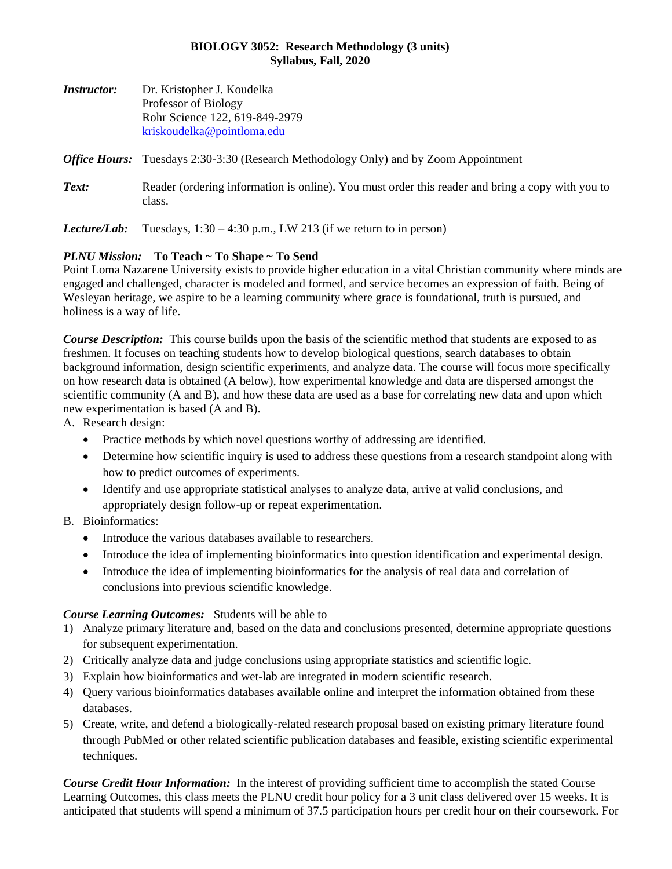#### **BIOLOGY 3052: Research Methodology (3 units) Syllabus, Fall, 2020**

| <i>Instructor:</i> | Dr. Kristopher J. Koudelka                                                                                 |  |  |  |  |
|--------------------|------------------------------------------------------------------------------------------------------------|--|--|--|--|
|                    | Professor of Biology                                                                                       |  |  |  |  |
|                    | Rohr Science 122, 619-849-2979                                                                             |  |  |  |  |
|                    | kriskoudelka@pointloma.edu                                                                                 |  |  |  |  |
|                    | <b>Office Hours:</b> Tuesdays 2:30-3:30 (Research Methodology Only) and by Zoom Appointment                |  |  |  |  |
| Text:              | Reader (ordering information is online). You must order this reader and bring a copy with you to<br>class. |  |  |  |  |
| Lecture/Lab:       | Tuesdays, $1:30 - 4:30$ p.m., LW 213 (if we return to in person)                                           |  |  |  |  |

### *PLNU Mission:* **To Teach ~ To Shape ~ To Send**

Point Loma Nazarene University exists to provide higher education in a vital Christian community where minds are engaged and challenged, character is modeled and formed, and service becomes an expression of faith. Being of Wesleyan heritage, we aspire to be a learning community where grace is foundational, truth is pursued, and holiness is a way of life.

*Course Description:* This course builds upon the basis of the scientific method that students are exposed to as freshmen. It focuses on teaching students how to develop biological questions, search databases to obtain background information, design scientific experiments, and analyze data. The course will focus more specifically on how research data is obtained (A below), how experimental knowledge and data are dispersed amongst the scientific community (A and B), and how these data are used as a base for correlating new data and upon which new experimentation is based (A and B).

- A. Research design:
	- Practice methods by which novel questions worthy of addressing are identified.
	- Determine how scientific inquiry is used to address these questions from a research standpoint along with how to predict outcomes of experiments.
	- Identify and use appropriate statistical analyses to analyze data, arrive at valid conclusions, and appropriately design follow-up or repeat experimentation.

# B. Bioinformatics:

- Introduce the various databases available to researchers.
- Introduce the idea of implementing bioinformatics into question identification and experimental design.
- Introduce the idea of implementing bioinformatics for the analysis of real data and correlation of conclusions into previous scientific knowledge.

### *Course Learning Outcomes:* Students will be able to

- 1) Analyze primary literature and, based on the data and conclusions presented, determine appropriate questions for subsequent experimentation.
- 2) Critically analyze data and judge conclusions using appropriate statistics and scientific logic.
- 3) Explain how bioinformatics and wet-lab are integrated in modern scientific research.
- 4) Query various bioinformatics databases available online and interpret the information obtained from these databases.
- 5) Create, write, and defend a biologically-related research proposal based on existing primary literature found through PubMed or other related scientific publication databases and feasible, existing scientific experimental techniques.

*Course Credit Hour Information:* In the interest of providing sufficient time to accomplish the stated Course Learning Outcomes, this class meets the PLNU credit hour policy for a 3 unit class delivered over 15 weeks. It is anticipated that students will spend a minimum of 37.5 participation hours per credit hour on their coursework. For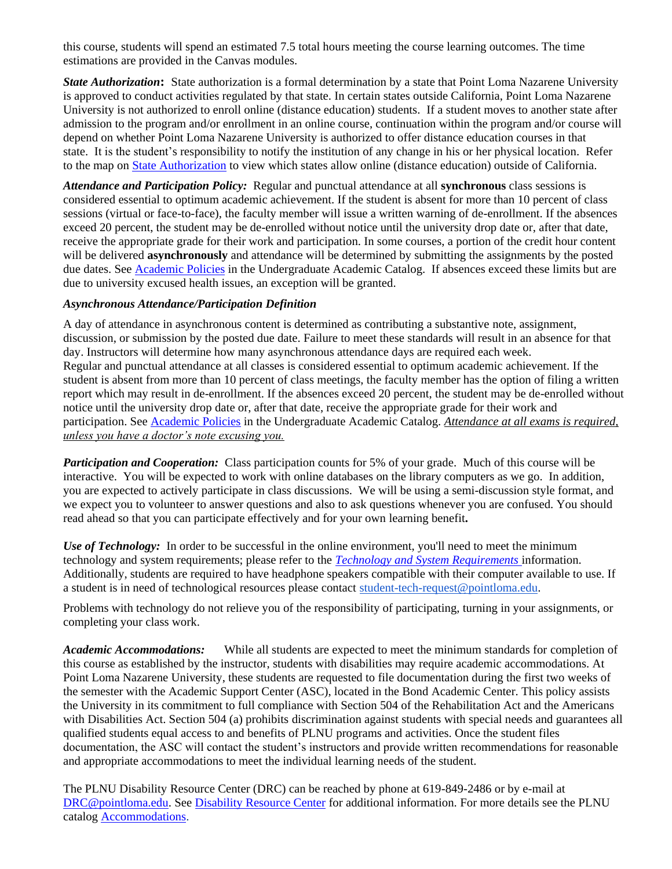this course, students will spend an estimated 7.5 total hours meeting the course learning outcomes. The time estimations are provided in the Canvas modules.

*State Authorization***:** State authorization is a formal determination by a state that Point Loma Nazarene University is approved to conduct activities regulated by that state. In certain states outside California, Point Loma Nazarene University is not authorized to enroll online (distance education) students. If a student moves to another state after admission to the program and/or enrollment in an online course, continuation within the program and/or course will depend on whether Point Loma Nazarene University is authorized to offer distance education courses in that state. It is the student's responsibility to notify the institution of any change in his or her physical location. Refer to the map on [State Authorization](https://www.pointloma.edu/offices/office-institutional-effectiveness-research/disclosures) to view which states allow online (distance education) outside of California.

*Attendance and Participation Policy:* Regular and punctual attendance at all **synchronous** class sessions is considered essential to optimum academic achievement. If the student is absent for more than 10 percent of class sessions (virtual or face-to-face), the faculty member will issue a written warning of de-enrollment. If the absences exceed 20 percent, the student may be de-enrolled without notice until the university drop date or, after that date, receive the appropriate grade for their work and participation. In some courses, a portion of the credit hour content will be delivered **asynchronously** and attendance will be determined by submitting the assignments by the posted due dates. See [Academic Policies](https://catalog.pointloma.edu/content.php?catoid=46&navoid=2650#Class_Attendance) in the Undergraduate Academic Catalog. If absences exceed these limits but are due to university excused health issues, an exception will be granted.

#### *Asynchronous Attendance/Participation Definition*

A day of attendance in asynchronous content is determined as contributing a substantive note, assignment, discussion, or submission by the posted due date. Failure to meet these standards will result in an absence for that day. Instructors will determine how many asynchronous attendance days are required each week. Regular and punctual attendance at all classes is considered essential to optimum academic achievement. If the student is absent from more than 10 percent of class meetings, the faculty member has the option of filing a written report which may result in de-enrollment. If the absences exceed 20 percent, the student may be de-enrolled without notice until the university drop date or, after that date, receive the appropriate grade for their work and participation. See [Academic Policies](http://catalog.pointloma.edu/content.php?catoid=18&navoid=1278) in the Undergraduate Academic Catalog. *Attendance at all exams is required, unless you have a doctor's note excusing you.*

*Participation and Cooperation:* Class participation counts for 5% of your grade. Much of this course will be interactive. You will be expected to work with online databases on the library computers as we go. In addition, you are expected to actively participate in class discussions. We will be using a semi-discussion style format, and we expect you to volunteer to answer questions and also to ask questions whenever you are confused. You should read ahead so that you can participate effectively and for your own learning benefit**.**

*Use of Technology:* In order to be successful in the online environment, you'll need to meet the minimum technology and system requirements; please refer to the *[Technology and System Requirements](https://help.pointloma.edu/TDClient/1808/Portal/KB/ArticleDet?ID=108349)* information. Additionally, students are required to have headphone speakers compatible with their computer available to use. If a student is in need of technological resources please contact [student-tech-request@pointloma.edu.](mailto:student-tech-request@pointloma.edu)

Problems with technology do not relieve you of the responsibility of participating, turning in your assignments, or completing your class work.

*Academic Accommodations:* While all students are expected to meet the minimum standards for completion of this course as established by the instructor, students with disabilities may require academic accommodations. At Point Loma Nazarene University, these students are requested to file documentation during the first two weeks of the semester with the Academic Support Center (ASC), located in the Bond Academic Center. This policy assists the University in its commitment to full compliance with Section 504 of the Rehabilitation Act and the Americans with Disabilities Act. Section 504 (a) prohibits discrimination against students with special needs and guarantees all qualified students equal access to and benefits of PLNU programs and activities. Once the student files documentation, the ASC will contact the student's instructors and provide written recommendations for reasonable and appropriate accommodations to meet the individual learning needs of the student.

The PLNU Disability Resource Center (DRC) can be reached by phone at 619-849-2486 or by e-mail at [DRC@pointloma.edu.](mailto:DRC@pointloma.edu) See [Disability Resource Center](https://www.pointloma.edu/offices/disability-resource-center) for additional information. For more details see the PLNU catalog [Accommodations.](https://catalog.pointloma.edu/content.php?catoid=35&navoid=2136#Academic_Accommodations)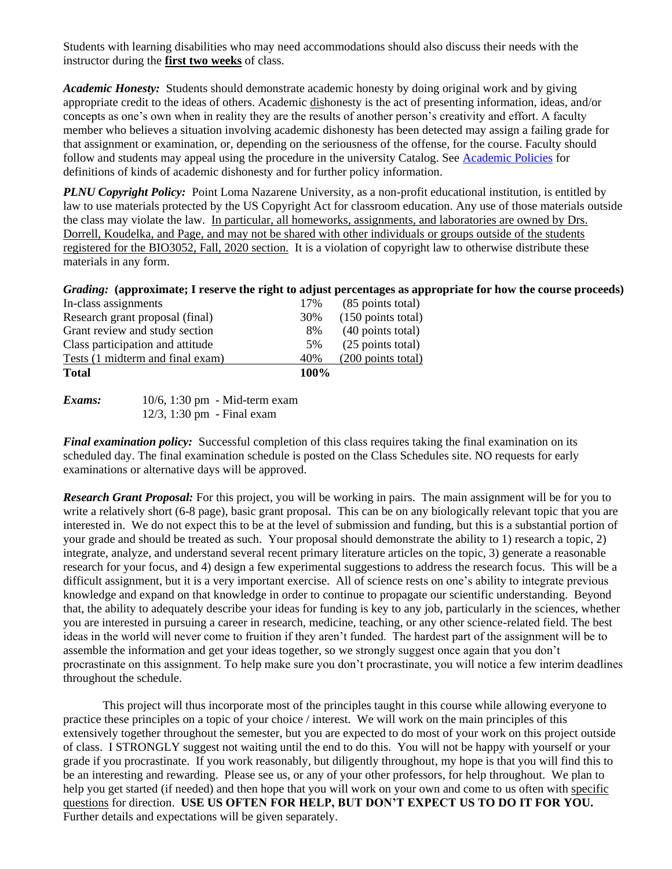Students with learning disabilities who may need accommodations should also discuss their needs with the instructor during the **first two weeks** of class.

*Academic Honesty:* Students should demonstrate academic honesty by doing original work and by giving appropriate credit to the ideas of others. Academic dishonesty is the act of presenting information, ideas, and/or concepts as one's own when in reality they are the results of another person's creativity and effort. A faculty member who believes a situation involving academic dishonesty has been detected may assign a failing grade for that assignment or examination, or, depending on the seriousness of the offense, for the course. Faculty should follow and students may appeal using the procedure in the university Catalog. See [Academic Policies](http://catalog.pointloma.edu/content.php?catoid=18&navoid=1278) for definitions of kinds of academic dishonesty and for further policy information.

*PLNU Copyright Policy:* Point Loma Nazarene University, as a non-profit educational institution, is entitled by law to use materials protected by the US Copyright Act for classroom education. Any use of those materials outside the class may violate the law.In particular, all homeworks, assignments, and laboratories are owned by Drs. Dorrell, Koudelka, and Page, and may not be shared with other individuals or groups outside of the students registered for the BIO3052, Fall, 2020 section. It is a violation of copyright law to otherwise distribute these materials in any form.

|  | Grading: (approximate; I reserve the right to adjust percentages as appropriate for how the course proceeds) |  |  |
|--|--------------------------------------------------------------------------------------------------------------|--|--|
|  |                                                                                                              |  |  |
|  |                                                                                                              |  |  |
|  |                                                                                                              |  |  |

| <b>Total</b>                     | <b>100%</b> |                              |
|----------------------------------|-------------|------------------------------|
| Tests (1 midterm and final exam) | 40%         | (200 points total)           |
| Class participation and attitude | 5%          | (25 points total)            |
| Grant review and study section   | 8%          | (40 points total)            |
| Research grant proposal (final)  | 30%         | $(150 \text{ points total})$ |
| In-class assignments             | 17%         | (85 points total)            |
|                                  |             |                              |

| Exams: |                               | $10/6$ , 1:30 pm - Mid-term exam |
|--------|-------------------------------|----------------------------------|
|        | $12/3$ , 1:30 pm - Final exam |                                  |

*Final examination policy:* Successful completion of this class requires taking the final examination on its scheduled day. The final examination schedule is posted on the Class Schedules site. NO requests for early examinations or alternative days will be approved.

*Research Grant Proposal:* For this project, you will be working in pairs. The main assignment will be for you to write a relatively short (6-8 page), basic grant proposal. This can be on any biologically relevant topic that you are interested in. We do not expect this to be at the level of submission and funding, but this is a substantial portion of your grade and should be treated as such. Your proposal should demonstrate the ability to 1) research a topic, 2) integrate, analyze, and understand several recent primary literature articles on the topic, 3) generate a reasonable research for your focus, and 4) design a few experimental suggestions to address the research focus. This will be a difficult assignment, but it is a very important exercise. All of science rests on one's ability to integrate previous knowledge and expand on that knowledge in order to continue to propagate our scientific understanding. Beyond that, the ability to adequately describe your ideas for funding is key to any job, particularly in the sciences, whether you are interested in pursuing a career in research, medicine, teaching, or any other science-related field. The best ideas in the world will never come to fruition if they aren't funded. The hardest part of the assignment will be to assemble the information and get your ideas together, so we strongly suggest once again that you don't procrastinate on this assignment. To help make sure you don't procrastinate, you will notice a few interim deadlines throughout the schedule.

This project will thus incorporate most of the principles taught in this course while allowing everyone to practice these principles on a topic of your choice / interest. We will work on the main principles of this extensively together throughout the semester, but you are expected to do most of your work on this project outside of class. I STRONGLY suggest not waiting until the end to do this. You will not be happy with yourself or your grade if you procrastinate. If you work reasonably, but diligently throughout, my hope is that you will find this to be an interesting and rewarding. Please see us, or any of your other professors, for help throughout. We plan to help you get started (if needed) and then hope that you will work on your own and come to us often with specific questions for direction. **USE US OFTEN FOR HELP, BUT DON'T EXPECT US TO DO IT FOR YOU.** Further details and expectations will be given separately.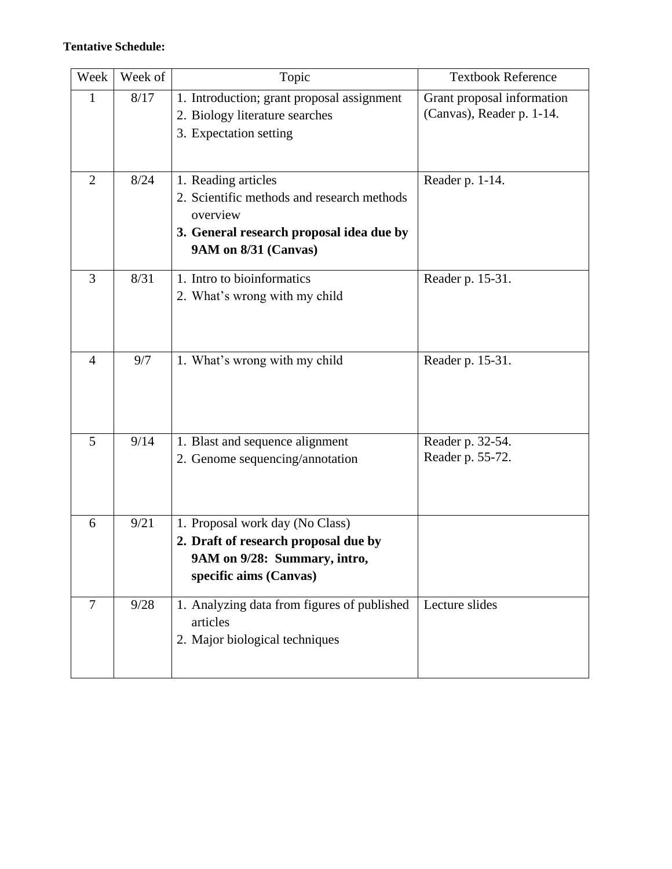## **Tentative Schedule:**

| Week           | Week of | Topic                                                                                                                                             | <b>Textbook Reference</b>                               |
|----------------|---------|---------------------------------------------------------------------------------------------------------------------------------------------------|---------------------------------------------------------|
| $\mathbf{1}$   | 8/17    | 1. Introduction; grant proposal assignment<br>2. Biology literature searches<br>3. Expectation setting                                            | Grant proposal information<br>(Canvas), Reader p. 1-14. |
| $\overline{2}$ | 8/24    | 1. Reading articles<br>2. Scientific methods and research methods<br>overview<br>3. General research proposal idea due by<br>9AM on 8/31 (Canvas) | Reader p. 1-14.                                         |
| 3              | 8/31    | 1. Intro to bioinformatics<br>2. What's wrong with my child                                                                                       | Reader p. 15-31.                                        |
| $\overline{4}$ | 9/7     | 1. What's wrong with my child                                                                                                                     | Reader p. 15-31.                                        |
| 5              | 9/14    | 1. Blast and sequence alignment<br>2. Genome sequencing/annotation                                                                                | Reader p. 32-54.<br>Reader p. 55-72.                    |
| 6              | 9/21    | 1. Proposal work day (No Class)<br>2. Draft of research proposal due by<br>9AM on 9/28: Summary, intro,<br>specific aims (Canvas)                 |                                                         |
| $\overline{7}$ | 9/28    | 1. Analyzing data from figures of published<br>articles<br>2. Major biological techniques                                                         | Lecture slides                                          |